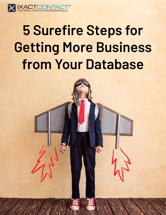

# **5 Surefire Steps for Getting More Business from Your Database**

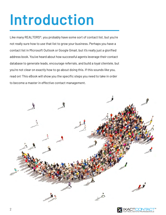# **Introduction**

Like many REALTORS®, you probably have some sort of contact list, but you're not really sure how to use that list to grow your business. Perhaps you have a contact list in Microsoft Outlook or Google Gmail, but it's really just a glorified address book. You've heard about how successful agents leverage their contact database to generate leads, encourage referrals, and build a loyal clientele, but you're not clear on exactly how to go about doing this. If this sounds like you, read on! This eBook will show you the specific steps you need to take in order to become a master in effective contact management.



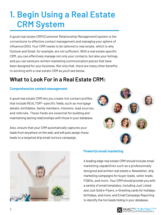# **1. Begin Using a Real Estate CRM System**

A good real estate CRM (Customer Relationship Management) system is the cornerstone to effective contact management and managing your sphere of influence (SOI). Your CRM needs to be tailored to real estate, which is why Outlook and Gmail, for example, are not sufficient. With a real estate specific CRM, you can effectively manage not only your contacts, but also your listings, and you can send pre-written marketing communication pieces that have been designed for your business. Not only that, there are many other benefits to working with a real estate CRM as you'll see below.

### **What to Look For in a Real Estate CRM:**

#### **Comprehensive contact management**

A good real estate CRM lets you create rich contact profiles that include REALTOR®-specific fields, such as mortgage details, birthdates, family members, interests, lead sources, and referrals. These fields are essential for building and maintaining lasting relationships with those in your database.

Also, ensure that your CRM automatically captures your leads from anywhere on the web, and will auto assign these leads to a targeted drip email nurture campaign.





### **Powerful email marketing**

A leading edge real estate CRM should include email marketing capabilities such as a professionally designed and written real estate e-Newsletter, drip marketing campaigns for buyer leads, seller leads, FSBOs, and more. Your CRM should provide you with a variety of email templates, including Just Listed and Just Sold e-Flyers, e-Greeting cards for holidays, birthdays, and more, and Email Campaign Reporting to identify the hot leads hiding in your database.

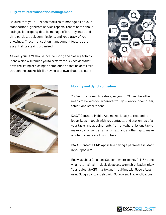#### **Fully-featured transaction management**

Be sure that your CRM has features to manage all of your transactions, generate service reports, record notes about listings, list property details, manage offers, key dates and third parties, track commissions, and keep track of your showings. These transaction management features are essential for staying organized.

As well, your CRM should include listing and closing Activity Plans which will remind you to perform the key activities that drive the listing or closing to completion so that no detail falls through the cracks. It's like having your own virtual assistant.





#### **Mobility and Synchronization**

You're not chained to a desk, so your CRM can't be either. It needs to be with you wherever you go — on your computer, tablet, and smartphone.

IXACT Contact's Mobile App makes it easy to respond to leads, keep in touch with key contacts, and stay on top of all your tasks and appointments from anywhere. It's one tap to make a call or send an email or text, and another tap to make a note or create a follow-up task.

IXACT Contact's CRM App is like having a personal assistant in your pocket!

But what about Gmail and Outlook - where do they fit in? No one whants to maintain multiple databses, so synchronization is key. Your real estate CRM has to sync in real time with Google Apps using Google Sync, and also with Outlook and Mac Applications.

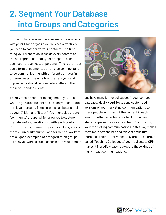# **2. Segment Your Database into Groups and Categories**

In order to have relevant, personalized conversations with your SOI and organize your business effectively, you need to categorize your contacts. The first thing you'll want to do is assign every contact to the appropriate contact type: prospect, client, business-to-business, or personal. This is the most basic form of segmentation and it's so important to be communicating with different contacts in different ways. The emails and letters you send to prospects should be completely different than those you send to clients.

To truly master contact management, you'll also want to go a step further and assign your contacts to relevant groups. These groups can be as simple as your "A List" and "B List." You might also create "community" groups, which allow you to capture the nature of your relationship with each contact. Church groups, community service clubs, sports teams, university alumni, and former co-workers are all good examples of categorization groups. Let's say you worked as a teacher in a previous career



and have many former colleagues in your contact database. Ideally, you'd like to send customized versions of your marketing communications to these people, with part of the content in each email or letter reflecting your background and shared experiences as a teacher. Customizing your marketing communications in this way makes them more personalized and relevant and in turn increases their effectiveness. By creating a group called "Teaching Colleagues," your real estate CRM makes it incredibly easy to execute these kinds of high-impact communications.

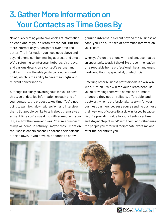## **3. Gather More Information on Your Contacts as Time Goes By**

No one is expecting you to have oodles of information on each one of your clients off the bat. But the more information you can gather over time, the better. The information you need goes above and beyond phone number, mailing address, and email. We're referring to interests, hobbies, birthdays, and various details on a contact's partner and children. This will enable you to carry out our next point, which is the ability to have meaningful and relevant conversations.

Although it's highly advantageous for you to have this type of detailed information on each one of your contacts, the process takes time. You're not going to want to sit down with a client and interview them. But people do like to talk about themselves so next time you're speaking with someone in your SOI, ask how their weekend was. I'm sure a number of things will come up naturally – maybe they'll mention their son Michael's baseball final and their cottage outside town. If you have 30 seconds to show

genuine interest in a client beyond the business at hand, you'll be surprised at how much information you'll learn.

When you're on the phone with a client, use that as an opportunity to ask if they'd like a recommendation on a reputable home professional like a handyman, hardwood flooring specialist, or electrician.

Referring other business professionals is a win-winwin situation. It's a win for your clients because you're providing them with names and numbers of people they need – reliable, affordable, and trustworthy home professionals. It's a win for your business partners because you're sending business their way. And of course it's a big win for you because 1) you're providing value to your clients over time and staying "top of mind" with them, and 2) because the people you refer will reciprocate over time and refer their clients to you.



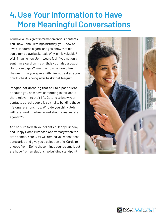## **4. Use Your Information to Have More Meaningful Conversations**

You have all this great information on your contacts. You know John Fleming's birthday, you know he loves Honduran cigars, and you know that his son Jimmy plays basketball. Why is this valuable? Well, imagine how John would feel if you not only sent him a card on his birthday but also a box of Honduran cigars? Imagine how he would feel if the next time you spoke with him, you asked about how Michael is doing in his basketball league?

Imagine not dreading that call to a past client because you now have something to talk about that's relevant to their life. Getting to know your contacts as real people is so vital to building those lifelong relationships. Who do you think John will refer next time he's asked about a real estate agent? You!

And be sure to wish your clients a Happy Birthday and Happy Home Purchase Anniversary when the time comes. Your CRM will remind you when these dates arise and give you a selection of e-Cards to choose from. Doing these things sounds small, but are huge from a relationship-building standpoint!



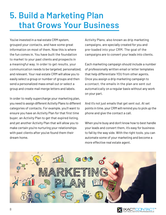## **5. Build a Marketing Plan that Grows Your Business**

You've invested in a real estate CRM system, grouped your contacts, and have some great information on most of them. Now this is where the fun comes in. You have built the foundation to market to your past clients and prospects in a meaningful way. In order to get results, your communication needs to be targeted, personalized, and relevant. Your real estate CRM will allow you to easily select a group or number of groups and then send a personalized mass email out or select a group and create mail merge letters and labels.

In order to really supercharge your marketing plan, you need to assign different Activity Plans to different categories of contacts. For example, you'll want to ensure you have an Activity Plan for that first time buyer, an Activity Plan to get that expired listing, and yet another Activity Plan that will allow you to make certain you're nurturing your relationships with past clients after you've found them their dream home.

Activity Plans, also known as drip marketing campaigns, are specially created for you and pre-loaded into your CRM. The goal of the campaigns are to convert your leads into clients.

Each marketing campaign should include a number of professionally written email or letter templates that help differentiate YOU from other agents. Once you assign a drip marketing campaign to a contact, the emails in the plan are sent out automatically on a regular basis without any work on your part.

And it's not just emails that get sent out. At set points in time, your CRM will remind you to pick up the phone and give the contact a call.

When you're busy and don't know how to best handle your leads and convert them, it's easy for business to fall by the way side. With the right tools, you can automate some of your marketing and become a more effective real estate agent.



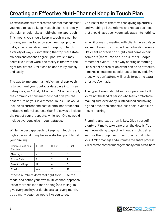### **Creating an Effective Multi-Channel Keep in Touch Plan**

To excel in effective real estate contact management you need to have a keep in touch plan, and ideally that plan should take a multi-channel approach. This means you should keep in touch in a number of ways, such as face-to-face meetings, phone calls, emails, and direct mail. Keeping in touch in a variety of ways is something that top real estate trainers and coaches agree upon. While it may seem like a lot of work, the reality is that with the right real estate CRM it can be done fairly quickly and easily.

The way to implement a multi-channel approach is to segment your contacts database into three categories, an A-List, B-List, and C-List, and apply the communications methods that give you the best return on your investment. Your A-List would include all current and past clients, hot prospects, and active referral sources. Your B-List would include the rest of your prospects, while your C-List would include everyone else in your database.

While the best approach to keeping in touch is a highly personal thing, here's a starting point to get you thinking:

| Communications<br>Per Year | A-List | <b>B-List</b> | C-List |
|----------------------------|--------|---------------|--------|
| Meetings                   |        |               |        |
| <b>Phone Calls</b>         |        | 2             |        |
| <b>Direct Mailings</b>     | 12     |               |        |
| Emails                     | anv    | 12            | 12     |

If these numbers don't feel right to you, use the model and define your own multi-channel approach. It's far more realistic than hoping (and failing) to give everyone in your database a call every month, as so many coaches would like you to do.

And it's far more effective than giving up entirely and watching all the referral and repeat business that should have been yours fade away into nothing.

When it comes to meeting with clients face-to-face, you might want to consider loyalty-building events like client appreciation nights and home expert seminars (more info about this later). People remember events. That's why hosting something like a client appreciation event can be so effective. It makes clients feel special just to be invited. Even those who don't attend will rarely forget the extra effort you've made.

The type of event should suit your personality. If you're not the kind of person who feels comfortable making sure everybody is introduced and having a good time, then choose a less social event like a movie morning.

Planning and execution is key. Give yourself plenty of time to take care of all the details. You want everything to go off without a hitch. Better yet, use the Group Event functionality built into your CRM to manage and automate the entire process. A real estate contact management system is vital here.

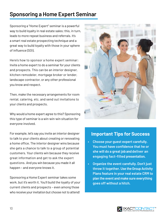### **Sponsoring a Home Expert Seminar**

Sponsoring a "Home Expert" seminar is a powerful way to build loyalty in real estate sales; this, in turn, leads to more repeat business and referrals. It's a smart real estate prospecting technique and a great way to build loyalty with those in your sphere of influence (SOI).

Here's how to sponsor a home expert seminar: Invite a home expert to do a seminar for your clients and prospects. This can be an interior designer, kitchen remodeler, mortgage broker or lender, landscape contractor, or any other professional you know and respect.

Then, make the necessary arrangements for room rental, catering, etc. and send out invitations to your clients and prospects.

Why would a home expert agree to this? Sponsoring this type of seminar is a win-win-win situation for everyone involved.

For example, let's say you invite an interior designer to talk to your clients about creating or renovating a home office. The interior designer wins because she gets a chance to talk to a group of potential customers. Your clients win because they receive great information and get to ask the expert questions. And you win because you made it all happen – and everyone knows it.

Sponsoring a Home Expert seminar takes some work, but it's worth it. You'll build the loyalty of your current clients and prospects – even among those who receive your invitation but choose not to attend!



### **Important Tips for Success**

- **• Choose your guest expert carefully. You must have confidence that he or she will do a great job and deliver an engaging fact-filled presentation.**
- **• Organize the event carefully. Don't just throw it together. Use the Group Activity Plans feature in your real estate CRM to plan the event and make sure everything goes off without a hitch.**

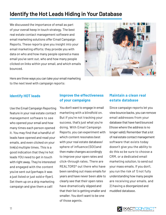### **Identify the Hot Leads Hiding in Your Database**

We discussed the importance of email as part of your overall keep in touch strategy. The best real estate contact management software and email marketing solutions offer Email Campaign Reports. These reports give you insight into your email marketing efforts; they provide you with data on who and how many people opened a mass email you've sent out, who and how many people clicked on links within your email, and which emails bounced.

Here are three ways you can take your email marketing to the next level with campaign reports:



#### **Identify HOT leads**

Use the Email Campaign Reporting feature in your real estate contact management software to see who opened your email and how many times each person opened it. You may find that a handful of leads have opened and read your emails, and even clicked on your link(s) multiple times. This is a good indication that they're hot leads YOU need to get in touch with right away. They're interested and engaged with the content you've sent out (perhaps it was a just listed or just sold e-flyer). Set them up on a drip marketing campaign and give them a call!

#### **Improve the effectiveness of your campaigns**

You don't want to engage in email marketing with a blindfold on. But if you're not tracking your success, that's just what you're doing. With Email Campaign Reports, you can experiment with which content resonates best with your real estate database/ sphere of influence (SOI) and then make changes accordingly to improve your open rates and click-through rates. There are REALTORS® out there who have been sending out mass emails for years and have never been able to clearly see that their open rates have dramatically slipped and that their list is getting smaller and smaller. You don't want to be one of those agents.

### **Maintain a clean real estate database**

Since campaign reports let you view bounce backs, you can remove email addresses from your database that have hard bounced (those where the address is no longer valid). Remember that a lot of real estate contact management software that exists today doesn't give you the ability to do this so be sure to choose a CRM, or a dedicated email marketing solution, to send out your mass emails. If you don't, you run the risk of 1) not fully understanding how many people are receiving your emails, and 2) having a disorganized and muddled database.